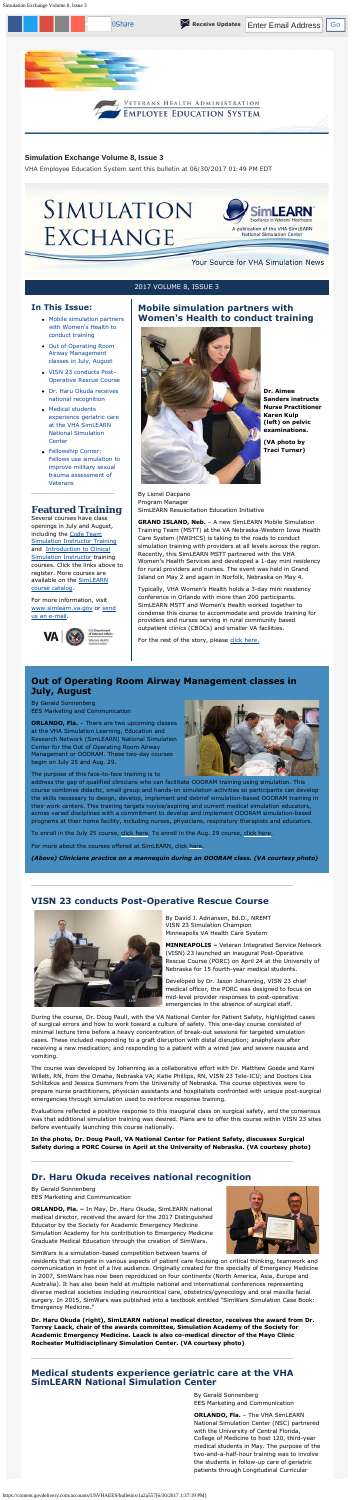Simulation Exchange Volume 8, Issue 3

#### **Simulation Exchange Volume 8, Issue 3**

*VHA Employee Education System sent this bulletin at 06/30/2017 01:49 PM EDT* 



#### 2017 VOLUME 8, ISSUE 3

#### **In This Issue:**

- Mobile simulation partners with Women's Health to conduct training
- Out of Operating Room Airway Management classes in July, August
- VISN 23 conducts Post-Operative Rescue Course
- Dr. Haru Okuda receives national recognition
- Medical students experience geriatric care at the VHA SimLEARN National Simulation **Center**
- Fellowship Corner: [Fellows use simulation to](#page-1-0)  improve military sexual trauma assessment of **Veterans**

[and Introduction to Clinical](https://myees.lrn.va.gov/SimLEARN/Class%20Registration/Course%20Categories.aspx?category=Intro%20to%20Clinical%20Simulations%20(Orlando)#) openings in July and August, including the Code Team [Simulation Instructor Training](https://myees.lrn.va.gov/SimLEARN/Class%20Registration/Course%20Categories.aspx?category=Code%20Team)  Simulation Instructor training courses. Click the links above to register. More courses are available on the **SimLEARN** course catalog.

**Featured Training**  Several courses have class

 Island on May 2 and again in Norfolk, Nebraska on May 4. **GRAND ISLAND, Neb.** – A new SimLEARN Mobile Simulation Training Team (MSTT) at the VA Nebraska-Western Iowa Health Care System (NWIHCS) is taking to the roads to conduct simulation training with providers at all levels across the region. Recently, this SimLEARN MSTT partnered with the VHA Women's Health Services and developed a 1-day mini residency for rural providers and nurses. The event was held in Grand

For more information, visit [www.simlearn.va.go](http://www.simlearn.va.gov/)v or send us an e-mail.



# **Mobile simulation partners with Women's Health to conduct training**



**Dr. Aimee Sanders instructs Nurse Practitioner Karen Kulp (left) on pelvic examinations.** 

**(VA photo by Traci Turner)** 

By Lionel Dacpano Program Manager SimLEARN Resuscitation Education Initiative

**ORLANDO, Fla.** - There are two upcoming classes at the VHA Simulation Learning, Education and Research Network (SimLEARN) National Simulation Center for the Out of Operating Room Airway Management or OOORAM. These two-day courses begin on July 25 and Aug. 29.



Typically, VHA Women's Health holds a 3-day mini residency conference in Orlando with more than 200 participants. SimLEARN MSTT and Women's Health worked together to condense this course to accommodate and provide training for providers and nurses serving in rural community based outpatient clinics (CBOCs) and smaller VA facilities.

For the rest of the story, please [click here.](https://www.simlearn.va.gov/SIMLEARN/FA_2017_10_Mobile_simulation_partneres_with_Womens_Health_to_conduct_training.asp)

## **Out of Operating Room Airway Management classes in July, August**

By Gerald Sonnenberg EES Marketing and Communication

The purpose of this face-to-face training is to

address the gap of qualified clinicians who can facilitate OOORAM training using simulation. This course combines didactic, small group and hands-on simulation activities so participants can develop the skills necessary to design, develop, implement and debrief simulation-based OOORAM training in their work centers. This training targets novice/aspiring and current medical simulation educators, across varied disciplines with a commitment to develop and implement OOORAM simulation-based programs at their home facility, including nurses, physicians, respiratory therapists and educators.

To enroll in the July 25 course, [click here](https://www.tms.va.gov/learning/user/deeplink_redirect.jsp?linkId=ITEM_DETAILS&componentID=28798&componentTypeID=VA&revisionDate=1456168920000). To enroll in the Aug. 29 course, click here.

For more about the courses offered at SimLEARN, click [here](https://myees.lrn.va.gov/SimLEARN/Class%20Registration/Course%20Catalog.aspx).

*(Above) Clinicians practice on a mannequin during an OOORAM class. (VA courtesy photo)* 

### **VISN 23 conducts Post-Operative Rescue Course**



By David J. Adriansen, Ed.D., NREMT VISN 23 Simulation Champion Minneapolis VA Health Care System

**MINNEAPOLIS –** Veteran Integrated Service Network (VISN) 23 launched an inaugural Post-Operative Rescue Course (PORC) on April 24 at the University of Nebraska for 15 fourth-year medical students.



Developed by Dr. Jason Johanning, VISN 23 chief medical officer, the PORC was designed to focus on mid-level provider responses to post-operative emergencies in the absence of surgical staff.

During the course, Dr. Doug Paull, with the VA National Center for Patient Safety, highlighted cases of surgical errors and how to work toward a culture of safety. This one-day course consisted of minimal lecture time before a heavy concentration of break-out sessions for targeted simulation cases. These included responding to a graft disruption with distal disruption; anaphylaxis after receiving a new medication; and responding to a patient with a wired jaw and severe nausea and vomiting.

The course was developed by Johanning as a collaborative effort with Dr. Matthew Goede and Kami Willett, RN, from the Omaha, Nebraska VA; Katie Phillips, RN, VISN 23 Tele-ICU; and Doctors Lisa Schlitzkus and Jessica Summers from the University of Nebraska. The course objectives were to prepare nurse practitioners, physician assistants and hospitalists confronted with unique post-surgical emergencies through simulation used to reinforce response training.

Evaluations reflected a positive response to this inaugural class on surgical safety, and the consensus was that additional simulation training was desired. Plans are to offer this course within VISN 23 sites before eventually launching this course nationally.

**In the photo, Dr. Doug Paull, VA National Center for Patient Safety, discusses Surgical Safety during a PORC Course in April at the University of Nebraska. (VA courtesy photo)** 

## **Dr. Haru Okuda receives national recognition**

By Gerald Sonnenberg EES Marketing and Communication

**ORLANDO, Fla. –** In May, Dr. Haru Okuda, SimLEARN national medical director, received the award for the 2017 Distinguished Educator by the Society for Academic Emergency Medicine Simulation Academy for his contribution to Emergency Medicine Graduate Medical Education through the creation of SimWars.



SimWars is a simulation-based competition between teams of

residents that compete in various aspects of patient care focusing on critical thinking, teamwork and communication in front of a live audience. Originally created for the specialty of Emergency Medicine in 2007, SimWars has now been reproduced on four continents (North America, Asia, Europe and Australia). It has also been held at multiple national and international conferences representing diverse medical societies including neurocritical care, obstetrics/gynecology and oral maxilla facial surgery. In 2015, SimWars was published into a textbook entitled "SimWars Simulation Case Book: Emergency Medicine."

**Dr. Haru Okuda (right), SimLEARN national medical director, receives the award from Dr. Torrey Laack, chair of the awards committee, Simulation Academy of the Society for Academic Emergency Medicine. Laack is also co-medical director of the Mayo Clinic Rochester Multidisciplinary Simulation Center. (VA courtesy photo)** 

## **Medical students experience geriatric care at the VHA SimLEARN National Simulation Center**

By Gerald Sonnenberg EES Marketing and Communication

**ORLANDO, Fla.** – The VHA SimLEARN National Simulation Center (NSC) partnered with the University of Central Florida, College of Medicine to host 120, third-year medical students in May. The purpose of the two-and-a-half-hour training was to involve the students in follow-up care of geriatric patients through Longitudinal Curricular